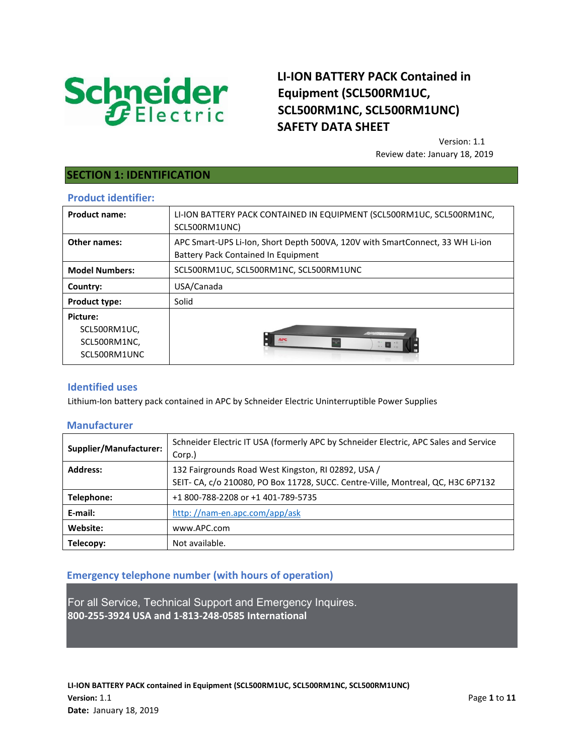

# **LI-ION BATTERY PACK Contained in Equipment (SCL500RM1UC, SCL500RM1NC, SCL500RM1UNC) SAFETY DATA SHEET**

Version: 1.1 Review date: January 18, 2019

## **SECTION 1: IDENTIFICATION**

#### **Product identifier:**

| <b>Product name:</b>                                     | LI-ION BATTERY PACK CONTAINED IN EQUIPMENT (SCL500RM1UC, SCL500RM1NC,<br>SCL500RM1UNC)                               |
|----------------------------------------------------------|----------------------------------------------------------------------------------------------------------------------|
| Other names:                                             | APC Smart-UPS Li-Ion, Short Depth 500VA, 120V with SmartConnect, 33 WH Li-ion<br>Battery Pack Contained In Equipment |
| <b>Model Numbers:</b>                                    | SCL500RM1UC, SCL500RM1NC, SCL500RM1UNC                                                                               |
| Country:                                                 | USA/Canada                                                                                                           |
| <b>Product type:</b>                                     | Solid                                                                                                                |
| Picture:<br>SCL500RM1UC,<br>SCL500RM1NC,<br>SCL500RM1UNC | <b>ANGELIA COMPOSITION</b><br><b>APC</b>                                                                             |

### **Identified uses**

Lithium-Ion battery pack contained in APC by Schneider Electric Uninterruptible Power Supplies

### **Manufacturer**

| Supplier/Manufacturer: | Schneider Electric IT USA (formerly APC by Schneider Electric, APC Sales and Service<br>Corp.) |
|------------------------|------------------------------------------------------------------------------------------------|
| <b>Address:</b>        | 132 Fairgrounds Road West Kingston, RJ 02892, USA /                                            |
|                        | SEIT- CA, c/o 210080, PO Box 11728, SUCC. Centre-Ville, Montreal, QC, H3C 6P7132               |
| Telephone:             | +1 800-788-2208 or +1 401-789-5735                                                             |
| E-mail:                | http://nam-en.apc.com/app/ask                                                                  |
| Website:               | www.APC.com                                                                                    |
| Telecopy:              | Not available.                                                                                 |

## **Emergency telephone number (with hours of operation)**

For all Service, Technical Support and Emergency Inquires. **800-255-3924 USA and 1-813-248-0585 International**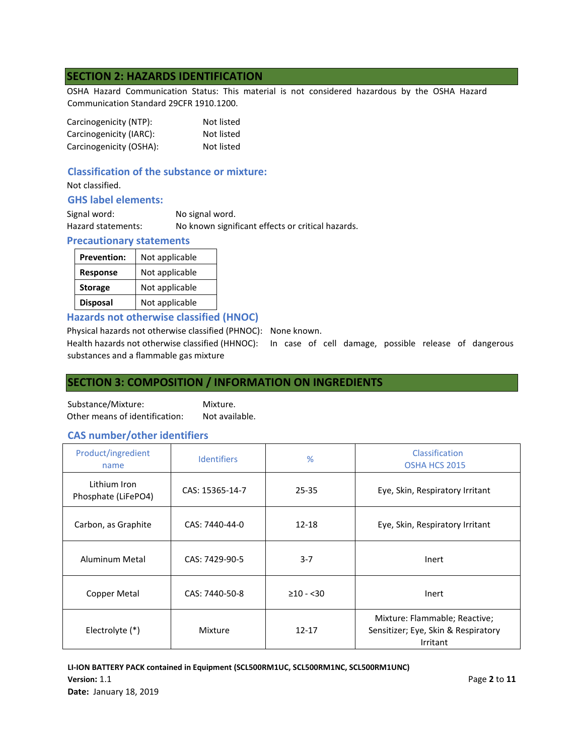## **SECTION 2: HAZARDS IDENTIFICATION**

OSHA Hazard Communication Status: This material is not considered hazardous by the OSHA Hazard Communication Standard 29CFR 1910.1200.

| Carcinogenicity (NTP):  | Not listed |
|-------------------------|------------|
| Carcinogenicity (IARC): | Not listed |
| Carcinogenicity (OSHA): | Not listed |

## **Classification of the substance or mixture:**

Not classified.

### **GHS label elements:**

| Signal word:       | No signal word.                                   |
|--------------------|---------------------------------------------------|
| Hazard statements: | No known significant effects or critical hazards. |

### **Precautionary statements**

| <b>Prevention:</b> | Not applicable |
|--------------------|----------------|
| <b>Response</b>    | Not applicable |
| <b>Storage</b>     | Not applicable |
| <b>Disposal</b>    | Not applicable |

### **Hazards not otherwise classified (HNOC)**

Physical hazards not otherwise classified (PHNOC): None known.

Health hazards not otherwise classified (HHNOC): In case of cell damage, possible release of dangerous substances and a flammable gas mixture

## **SECTION 3: COMPOSITION / INFORMATION ON INGREDIENTS**

Substance/Mixture: Mixture. Other means of identification: Not available.

### **CAS number/other identifiers**

| Product/ingredient<br>name          | <b>Identifiers</b> | %              | Classification<br>OSHA HCS 2015                                                  |
|-------------------------------------|--------------------|----------------|----------------------------------------------------------------------------------|
| Lithium Iron<br>Phosphate (LiFePO4) | CAS: 15365-14-7    | 25-35          | Eye, Skin, Respiratory Irritant                                                  |
| Carbon, as Graphite                 | CAS: 7440-44-0     | 12-18          | Eye, Skin, Respiratory Irritant                                                  |
| Aluminum Metal                      | CAS: 7429-90-5     | $3 - 7$        | Inert                                                                            |
| Copper Metal                        | CAS: 7440-50-8     | $\geq 10 - 30$ | Inert                                                                            |
| Electrolyte (*)                     | Mixture            | $12 - 17$      | Mixture: Flammable; Reactive;<br>Sensitizer; Eye, Skin & Respiratory<br>Irritant |

**LI-ION BATTERY PACK contained in Equipment (SCL500RM1UC, SCL500RM1NC, SCL500RM1UNC) Version:** 1.1 **Page 2** to **11 Date:** January 18, 2019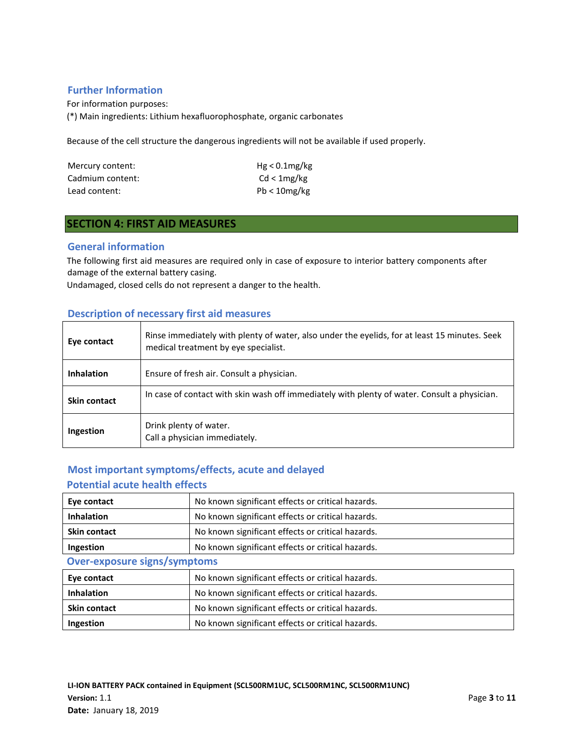## **Further Information**

For information purposes: (\*) Main ingredients: Lithium hexafluorophosphate, organic carbonates

Because of the cell structure the dangerous ingredients will not be available if used properly.

| Mercury content: | $Hg < 0.1$ mg/kg |
|------------------|------------------|
| Cadmium content: | Cd < 1mg/kg      |
| Lead content:    | $Pb < 10$ mg/kg  |

# **SECTION 4: FIRST AID MEASURES**

### **General information**

The following first aid measures are required only in case of exposure to interior battery components after damage of the external battery casing.

Undamaged, closed cells do not represent a danger to the health.

### **Description of necessary first aid measures**

| Eye contact       | Rinse immediately with plenty of water, also under the eyelids, for at least 15 minutes. Seek<br>medical treatment by eye specialist. |
|-------------------|---------------------------------------------------------------------------------------------------------------------------------------|
| <b>Inhalation</b> | Ensure of fresh air. Consult a physician.                                                                                             |
| Skin contact      | In case of contact with skin wash off immediately with plenty of water. Consult a physician.                                          |
| Ingestion         | Drink plenty of water.<br>Call a physician immediately.                                                                               |

# **Most important symptoms/effects, acute and delayed Potential acute health effects**

| Eye contact                         | No known significant effects or critical hazards. |
|-------------------------------------|---------------------------------------------------|
| <b>Inhalation</b>                   | No known significant effects or critical hazards. |
| <b>Skin contact</b>                 | No known significant effects or critical hazards. |
| Ingestion                           | No known significant effects or critical hazards. |
| <b>Over-exposure signs/symptoms</b> |                                                   |
| Eye contact                         | No known significant effects or critical hazards. |
| <b>Inhalation</b>                   | No known significant effects or critical hazards. |
| <b>Skin contact</b>                 | No known significant effects or critical hazards. |
| Ingestion                           | No known significant effects or critical hazards. |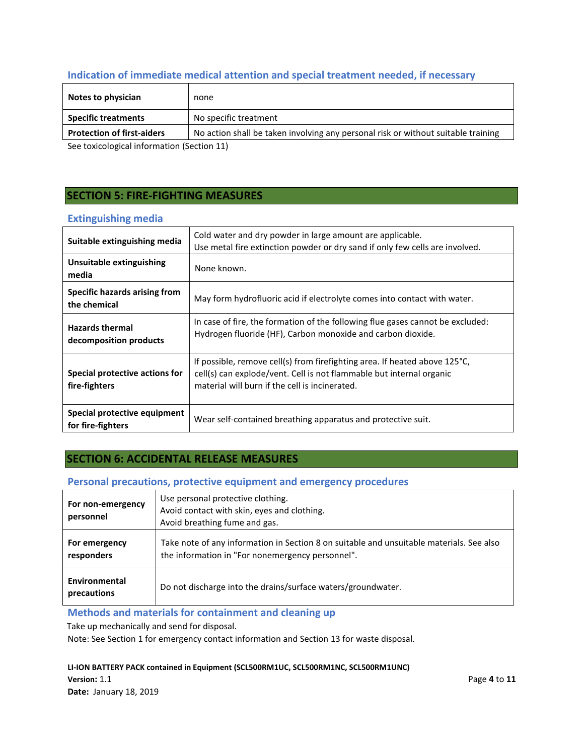# **Indication of immediate medical attention and special treatment needed, if necessary**

| Notes to physician                         | none                                                                              |
|--------------------------------------------|-----------------------------------------------------------------------------------|
| <b>Specific treatments</b>                 | No specific treatment                                                             |
| <b>Protection of first-aiders</b>          | No action shall be taken involving any personal risk or without suitable training |
| See toxicological information (Section 11) |                                                                                   |

See toxicological information (Section 11)

# **SECTION 5: FIRE-FIGHTING MEASURES**

## **Extinguishing media**

| Suitable extinguishing media                      | Cold water and dry powder in large amount are applicable.<br>Use metal fire extinction powder or dry sand if only few cells are involved.                                                                      |
|---------------------------------------------------|----------------------------------------------------------------------------------------------------------------------------------------------------------------------------------------------------------------|
| Unsuitable extinguishing<br>media                 | None known.                                                                                                                                                                                                    |
| Specific hazards arising from<br>the chemical     | May form hydrofluoric acid if electrolyte comes into contact with water.                                                                                                                                       |
| <b>Hazards thermal</b><br>decomposition products  | In case of fire, the formation of the following flue gases cannot be excluded:<br>Hydrogen fluoride (HF), Carbon monoxide and carbon dioxide.                                                                  |
| Special protective actions for<br>fire-fighters   | If possible, remove cell(s) from firefighting area. If heated above $125^{\circ}$ C,<br>cell(s) can explode/vent. Cell is not flammable but internal organic<br>material will burn if the cell is incinerated. |
| Special protective equipment<br>for fire-fighters | Wear self-contained breathing apparatus and protective suit.                                                                                                                                                   |

# **SECTION 6: ACCIDENTAL RELEASE MEASURES**

## **Personal precautions, protective equipment and emergency procedures**

| For non-emergency<br>personnel | Use personal protective clothing.<br>Avoid contact with skin, eyes and clothing.<br>Avoid breathing fume and gas.                            |
|--------------------------------|----------------------------------------------------------------------------------------------------------------------------------------------|
| For emergency<br>responders    | Take note of any information in Section 8 on suitable and unsuitable materials. See also<br>the information in "For nonemergency personnel". |
| Environmental<br>precautions   | Do not discharge into the drains/surface waters/groundwater.                                                                                 |

# **Methods and materials for containment and cleaning up**

Take up mechanically and send for disposal.

Note: See Section 1 for emergency contact information and Section 13 for waste disposal.

### **LI-ION BATTERY PACK contained in Equipment (SCL500RM1UC, SCL500RM1NC, SCL500RM1UNC)**

**Version:** 1.1 **Page 4** to **11 Date:** January 18, 2019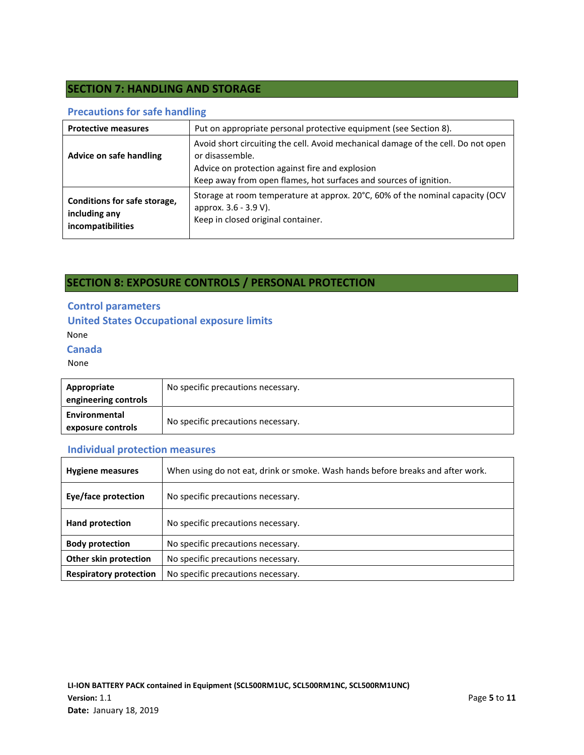# **SECTION 7: HANDLING AND STORAGE**

## **Precautions for safe handling**

| <b>Protective measures</b>                                         | Put on appropriate personal protective equipment (see Section 8).                                                                                                                                                            |
|--------------------------------------------------------------------|------------------------------------------------------------------------------------------------------------------------------------------------------------------------------------------------------------------------------|
| Advice on safe handling                                            | Avoid short circuiting the cell. Avoid mechanical damage of the cell. Do not open<br>or disassemble.<br>Advice on protection against fire and explosion<br>Keep away from open flames, hot surfaces and sources of ignition. |
| Conditions for safe storage,<br>including any<br>incompatibilities | Storage at room temperature at approx. 20°C, 60% of the nominal capacity (OCV<br>approx. 3.6 - 3.9 V).<br>Keep in closed original container.                                                                                 |

# **SECTION 8: EXPOSURE CONTROLS / PERSONAL PROTECTION**

# **Control parameters**

### **United States Occupational exposure limits**

None

### **Canada**

None

| Appropriate<br>engineering controls | No specific precautions necessary. |
|-------------------------------------|------------------------------------|
| Environmental<br>exposure controls  | No specific precautions necessary. |

# **Individual protection measures**

| <b>Hygiene measures</b>       | When using do not eat, drink or smoke. Wash hands before breaks and after work. |  |
|-------------------------------|---------------------------------------------------------------------------------|--|
| <b>Eye/face protection</b>    | No specific precautions necessary.                                              |  |
| Hand protection               | No specific precautions necessary.                                              |  |
| <b>Body protection</b>        | No specific precautions necessary.                                              |  |
| Other skin protection         | No specific precautions necessary.                                              |  |
| <b>Respiratory protection</b> | No specific precautions necessary.                                              |  |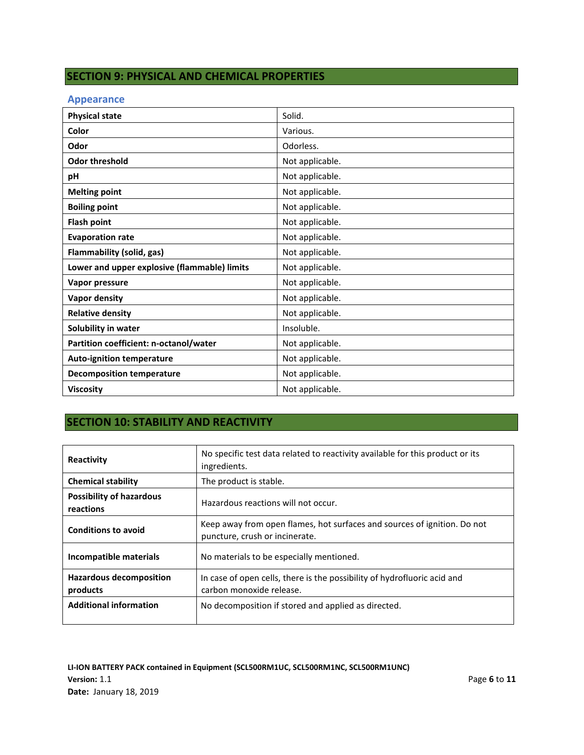# **SECTION 9: PHYSICAL AND CHEMICAL PROPERTIES**

### **Appearance**

| <b>Physical state</b>                        | Solid.          |
|----------------------------------------------|-----------------|
| Color                                        | Various.        |
| Odor                                         | Odorless.       |
| <b>Odor threshold</b>                        | Not applicable. |
| pH                                           | Not applicable. |
| <b>Melting point</b>                         | Not applicable. |
| <b>Boiling point</b>                         | Not applicable. |
| <b>Flash point</b>                           | Not applicable. |
| <b>Evaporation rate</b>                      | Not applicable. |
| Flammability (solid, gas)                    | Not applicable. |
| Lower and upper explosive (flammable) limits | Not applicable. |
| Vapor pressure                               | Not applicable. |
| <b>Vapor density</b>                         | Not applicable. |
| <b>Relative density</b>                      | Not applicable. |
| Solubility in water                          | Insoluble.      |
| Partition coefficient: n-octanol/water       | Not applicable. |
| <b>Auto-ignition temperature</b>             | Not applicable. |
| <b>Decomposition temperature</b>             | Not applicable. |
| <b>Viscosity</b>                             | Not applicable. |

# **SECTION 10: STABILITY AND REACTIVITY**

| Reactivity                                   | No specific test data related to reactivity available for this product or its<br>ingredients.              |
|----------------------------------------------|------------------------------------------------------------------------------------------------------------|
| <b>Chemical stability</b>                    | The product is stable.                                                                                     |
| <b>Possibility of hazardous</b><br>reactions | Hazardous reactions will not occur.                                                                        |
| <b>Conditions to avoid</b>                   | Keep away from open flames, hot surfaces and sources of ignition. Do not<br>puncture, crush or incinerate. |
| Incompatible materials                       | No materials to be especially mentioned.                                                                   |
| <b>Hazardous decomposition</b><br>products   | In case of open cells, there is the possibility of hydrofluoric acid and<br>carbon monoxide release.       |
| <b>Additional information</b>                | No decomposition if stored and applied as directed.                                                        |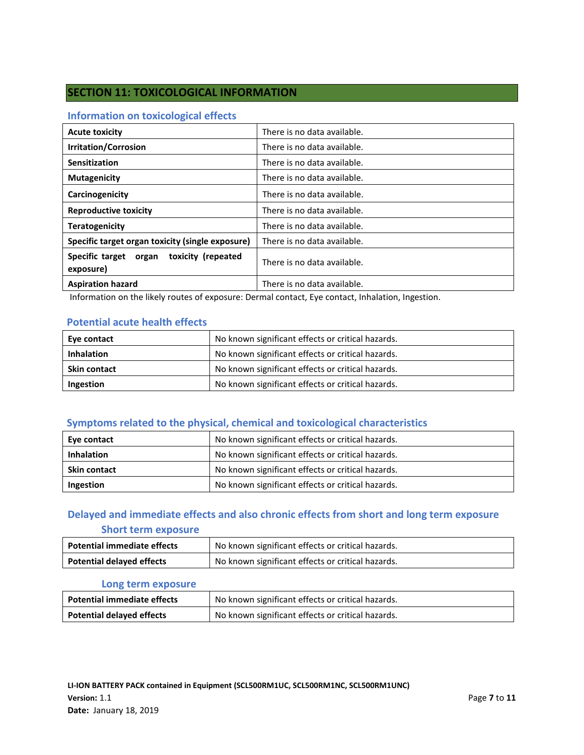# **SECTION 11: TOXICOLOGICAL INFORMATION**

### **Information on toxicological effects**

| <b>Acute toxicity</b>                                 | There is no data available. |
|-------------------------------------------------------|-----------------------------|
| <b>Irritation/Corrosion</b>                           | There is no data available. |
| Sensitization                                         | There is no data available. |
| <b>Mutagenicity</b>                                   | There is no data available. |
| Carcinogenicity                                       | There is no data available. |
| <b>Reproductive toxicity</b>                          | There is no data available. |
| <b>Teratogenicity</b>                                 | There is no data available. |
| Specific target organ toxicity (single exposure)      | There is no data available. |
| Specific target organ toxicity (repeated<br>exposure) | There is no data available. |
| <b>Aspiration hazard</b>                              | There is no data available. |

Information on the likely routes of exposure: Dermal contact, Eye contact, Inhalation, Ingestion.

## **Potential acute health effects**

| Eye contact         | No known significant effects or critical hazards. |
|---------------------|---------------------------------------------------|
| <b>Inhalation</b>   | No known significant effects or critical hazards. |
| <b>Skin contact</b> | No known significant effects or critical hazards. |
| Ingestion           | No known significant effects or critical hazards. |

## **Symptoms related to the physical, chemical and toxicological characteristics**

| Eye contact         | No known significant effects or critical hazards. |
|---------------------|---------------------------------------------------|
| <b>Inhalation</b>   | No known significant effects or critical hazards. |
| <b>Skin contact</b> | No known significant effects or critical hazards. |
| Ingestion           | No known significant effects or critical hazards. |

# **Delayed and immediate effects and also chronic effects from short and long term exposure**

## **Short term exposure**

| <b>Potential immediate effects</b> | No known significant effects or critical hazards. |
|------------------------------------|---------------------------------------------------|
| <b>Potential delayed effects</b>   | No known significant effects or critical hazards. |

### **Long term exposure**

| <b>Potential immediate effects</b> | No known significant effects or critical hazards. |
|------------------------------------|---------------------------------------------------|
| <b>Potential delayed effects</b>   | No known significant effects or critical hazards. |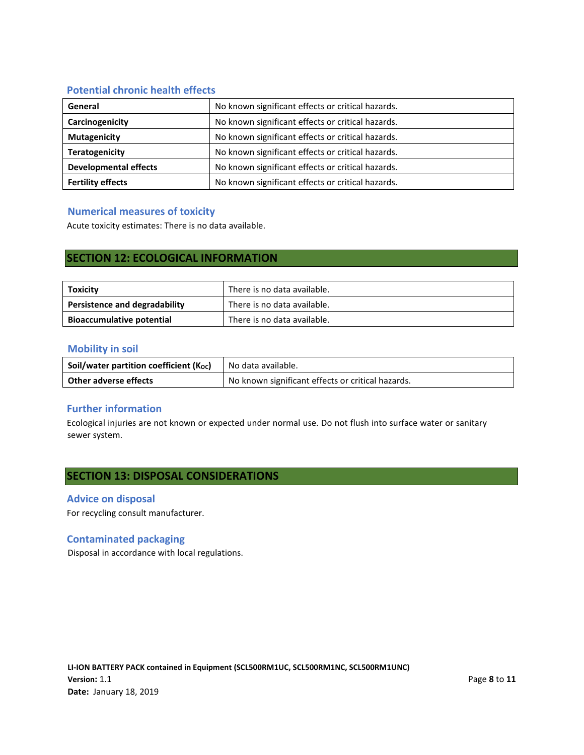## **Potential chronic health effects**

| General                      | No known significant effects or critical hazards. |
|------------------------------|---------------------------------------------------|
| Carcinogenicity              | No known significant effects or critical hazards. |
| <b>Mutagenicity</b>          | No known significant effects or critical hazards. |
| <b>Teratogenicity</b>        | No known significant effects or critical hazards. |
| <b>Developmental effects</b> | No known significant effects or critical hazards. |
| <b>Fertility effects</b>     | No known significant effects or critical hazards. |

## **Numerical measures of toxicity**

Acute toxicity estimates: There is no data available.

# **SECTION 12: ECOLOGICAL INFORMATION**

| Toxicity                         | There is no data available. |
|----------------------------------|-----------------------------|
| Persistence and degradability    | There is no data available. |
| <b>Bioaccumulative potential</b> | There is no data available. |

### **Mobility in soil**

| Soil/water partition coefficient (Koc) | No data available.                                |
|----------------------------------------|---------------------------------------------------|
| Other adverse effects                  | No known significant effects or critical hazards. |

## **Further information**

Ecological injuries are not known or expected under normal use. Do not flush into surface water or sanitary sewer system.

# **SECTION 13: DISPOSAL CONSIDERATIONS**

### **Advice on disposal**

For recycling consult manufacturer.

## **Contaminated packaging**

Disposal in accordance with local regulations.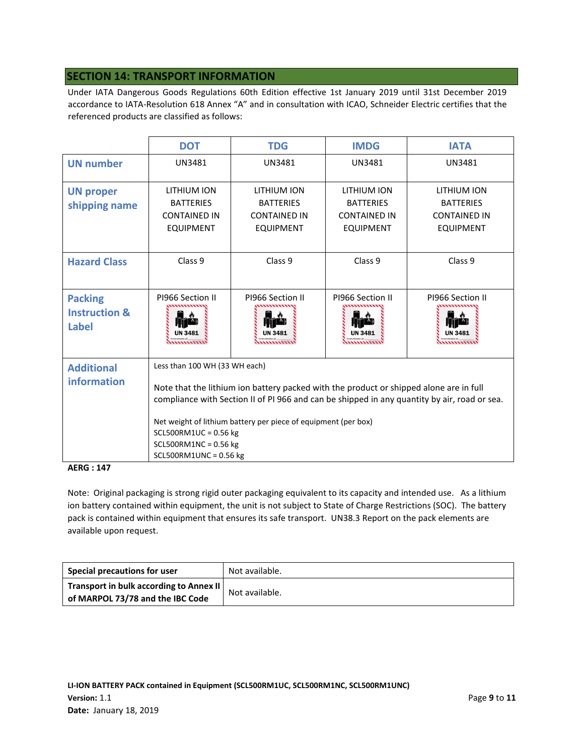# **SECTION 14: TRANSPORT INFORMATION**

Under IATA Dangerous Goods Regulations 60th Edition effective 1st January 2019 until 31st December 2019 accordance to IATA-Resolution 618 Annex "A" and in consultation with ICAO, Schneider Electric certifies that the referenced products are classified as follows:

|                                                     | <b>DOT</b>                                                                                                                                                                                                                                                                                                                                                                  | <b>TDG</b>                                                                 | <b>IMDG</b>                                                                | <b>IATA</b>                                                                |
|-----------------------------------------------------|-----------------------------------------------------------------------------------------------------------------------------------------------------------------------------------------------------------------------------------------------------------------------------------------------------------------------------------------------------------------------------|----------------------------------------------------------------------------|----------------------------------------------------------------------------|----------------------------------------------------------------------------|
| <b>UN number</b>                                    | <b>UN3481</b>                                                                                                                                                                                                                                                                                                                                                               | UN3481                                                                     | <b>UN3481</b>                                                              | <b>UN3481</b>                                                              |
| <b>UN proper</b><br>shipping name                   | LITHIUM ION<br><b>BATTERIES</b><br><b>CONTAINED IN</b><br><b>EQUIPMENT</b>                                                                                                                                                                                                                                                                                                  | LITHIUM ION<br><b>BATTERIES</b><br><b>CONTAINED IN</b><br><b>EQUIPMENT</b> | LITHIUM ION<br><b>BATTERIES</b><br><b>CONTAINED IN</b><br><b>EQUIPMENT</b> | LITHIUM ION<br><b>BATTERIES</b><br><b>CONTAINED IN</b><br><b>EQUIPMENT</b> |
| <b>Hazard Class</b>                                 | Class <sub>9</sub>                                                                                                                                                                                                                                                                                                                                                          | Class <sub>9</sub>                                                         | Class <sub>9</sub>                                                         | Class 9                                                                    |
| <b>Packing</b><br><b>Instruction &amp;</b><br>Label | PI966 Section II<br>UN 3481                                                                                                                                                                                                                                                                                                                                                 | PI966 Section II<br>UN 3481                                                | PI966 Section II                                                           | PI966 Section II<br><b>UN 348</b>                                          |
| <b>Additional</b><br>information                    | Less than 100 WH (33 WH each)<br>Note that the lithium ion battery packed with the product or shipped alone are in full<br>compliance with Section II of PI 966 and can be shipped in any quantity by air, road or sea.<br>Net weight of lithium battery per piece of equipment (per box)<br>$SCL500RM1UC = 0.56 kg$<br>$SCL500RM1NC = 0.56$ kg<br>$SCL500RM1UNC = 0.56 kg$ |                                                                            |                                                                            |                                                                            |

#### **AERG : 147**

Note: Original packaging is strong rigid outer packaging equivalent to its capacity and intended use. As a lithium ion battery contained within equipment, the unit is not subject to State of Charge Restrictions (SOC). The battery pack is contained within equipment that ensures its safe transport. UN38.3 Report on the pack elements are available upon request.

| Special precautions for user            | Not available. |  |
|-----------------------------------------|----------------|--|
| Transport in bulk according to Annex II | Not available. |  |
| of MARPOL 73/78 and the IBC Code        |                |  |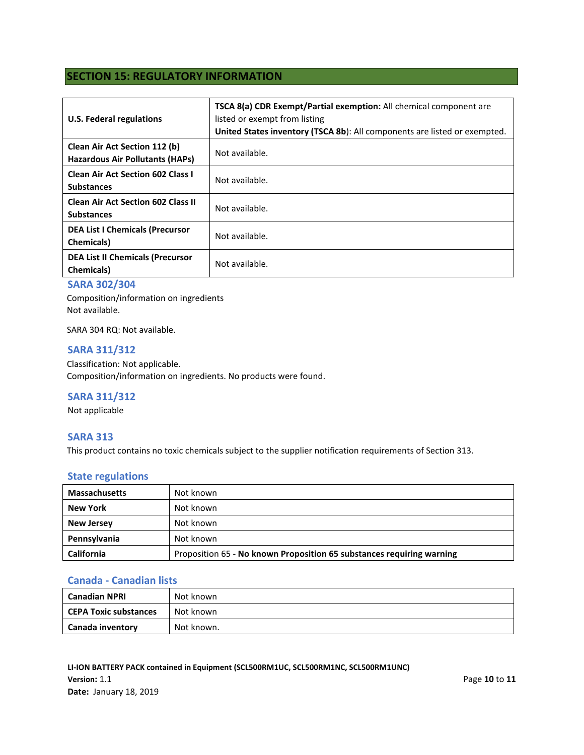# **SECTION 15: REGULATORY INFORMATION**

| <b>U.S. Federal regulations</b>                                                | <b>TSCA 8(a) CDR Exempt/Partial exemption:</b> All chemical component are<br>listed or exempt from listing<br>United States inventory (TSCA 8b): All components are listed or exempted. |
|--------------------------------------------------------------------------------|-----------------------------------------------------------------------------------------------------------------------------------------------------------------------------------------|
| <b>Clean Air Act Section 112 (b)</b><br><b>Hazardous Air Pollutants (HAPs)</b> | Not available.                                                                                                                                                                          |
| <b>Clean Air Act Section 602 Class I</b><br><b>Substances</b>                  | Not available.                                                                                                                                                                          |
| <b>Clean Air Act Section 602 Class II</b><br><b>Substances</b>                 | Not available.                                                                                                                                                                          |
| <b>DEA List I Chemicals (Precursor</b><br><b>Chemicals</b> )                   | Not available.                                                                                                                                                                          |
| <b>DEA List II Chemicals (Precursor</b><br><b>Chemicals</b> )                  | Not available.                                                                                                                                                                          |

## **SARA 302/304**

Composition/information on ingredients Not available.

SARA 304 RQ: Not available.

### **SARA 311/312**

Classification: Not applicable. Composition/information on ingredients. No products were found.

## **SARA 311/312**

Not applicable

### **SARA 313**

This product contains no toxic chemicals subject to the supplier notification requirements of Section 313.

### **State regulations**

| <b>Massachusetts</b> | Not known                                                             |
|----------------------|-----------------------------------------------------------------------|
| New York             | Not known                                                             |
| <b>New Jersey</b>    | Not known                                                             |
| Pennsylvania         | Not known                                                             |
| <b>California</b>    | Proposition 65 - No known Proposition 65 substances requiring warning |

### **Canada - Canadian lists**

| <b>Canadian NPRI</b>  | Not known  |
|-----------------------|------------|
| CEPA Toxic substances | Not known  |
| Canada inventory      | Not known. |